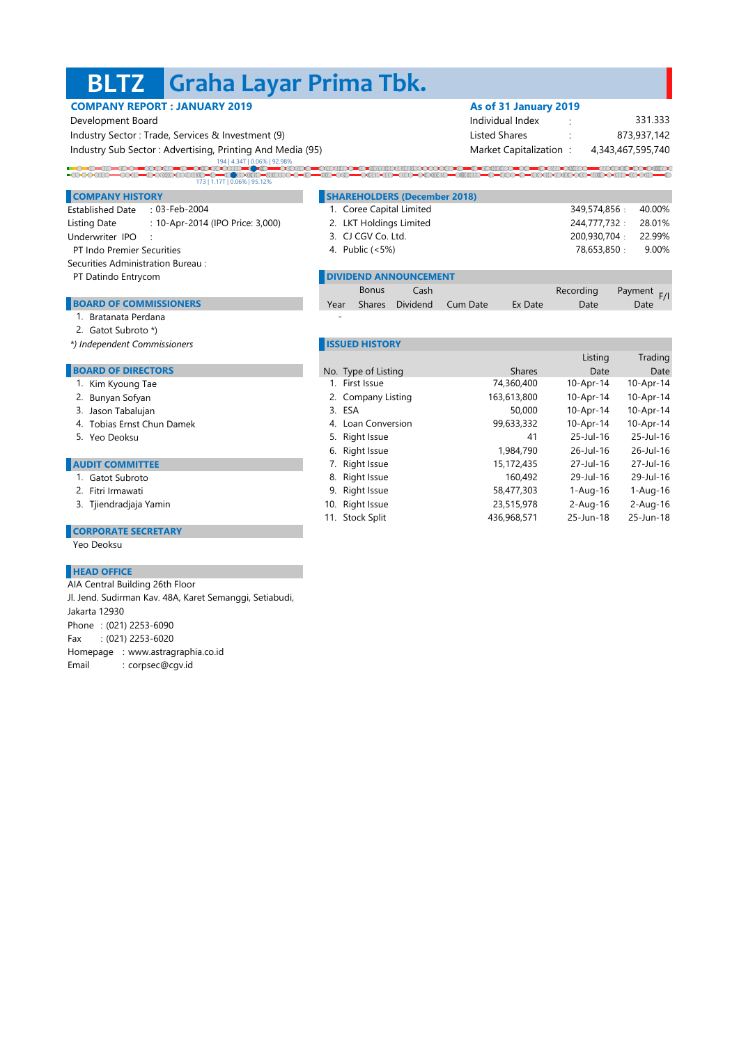### **BLTZ Graha Layar Prima Tbk.**

|                                                           | <b>COMPANY REPORT: JANUARY 2019</b>               |  |                              | As of 31 January 2019  |                   |             |
|-----------------------------------------------------------|---------------------------------------------------|--|------------------------------|------------------------|-------------------|-------------|
| Development Board                                         |                                                   |  |                              | Individual Index       |                   | 331.333     |
|                                                           | Industry Sector: Trade, Services & Investment (9) |  |                              | <b>Listed Shares</b>   |                   | 873,937,142 |
| Industry Sub Sector: Advertising, Printing And Media (95) |                                                   |  |                              | Market Capitalization: | 4,343,467,595,740 |             |
|                                                           | 173   1.17T   0.06%   95.12%                      |  |                              |                        |                   |             |
| <b>COMPANY HISTORY</b>                                    |                                                   |  | SHAREHOLDERS (December 2018) |                        |                   |             |
| <b>Established Date</b>                                   | $: 03$ -Feb-2004                                  |  | 1. Coree Capital Limited     |                        | 349.574.856:      | 40.00%      |
| Listing Date                                              | : 10-Apr-2014 (IPO Price: 3,000)                  |  | 2. LKT Holdings Limited      |                        | 244,777,732:      | 28.01%      |
|                                                           |                                                   |  |                              |                        |                   |             |

**DIVIDEND ANNOUNCEMENT** 

Bonus

Shares Dividend

No. Type of Listing

3.

Year

-

10. Right Issue

Cash Recording Payment Recording

4. Public (<5%) 78,653,850 9.00%

11. Stock Split 436,968,571 25-Jun-18 25-Jun-18

9. Right Issue 58,477,303 1-Aug-16 1-Aug-16

6. Right Issue 1,984,790 26-Jul-16 26-Jul-16 7. Right Issue 15,172,435 27-Jul-16 27-Jul-16 8. Right Issue 160,492 29-Jul-16 29-Jul-16

5. Right Issue 41 25-Jul-16

4. Loan Conversion 99,633,332 10-Apr-14 10-Apr-14

1. First Issue 74,360,400 10-Apr-14 10-Apr-14 2. Company Listing 163,613,800 10-Apr-14 10-Apr-14

Listing Trading

Payment F/I

25-Jul-16

23,515,978 2-Aug-16 2-Aug-16

ESA 50,000 10-Apr-14 10-Apr-14

- Underwriter IPO : : 3. CJ CGV Co. Ltd. 200,930,704 22.99% PT Indo Premier Securities and the control of the control of the Public (<5%) and the control of the control of the control of the control of the control of the control of the control of the control of the control of the c
- Securities Administration Bureau :
- PT Datindo Entrycom

### BOARD OF COMMISSIONERS **Dividend Cum Date Date Date Date** Date Date Date Date Date

- 1. Bratanata Perdana
- 2. Gatot Subroto \*)
- *\*) Independent Commissioners* **ISSUED HISTORY**

### **BOARD OF DIRECTORS** Type of Listing Date Date

- 1. Kim Kyoung Tae
- 2. Bunyan Sofyan
- 3. Jason Tabalujan
- 4. Tobias Ernst Chun Damek
- 5. Yeo Deoksu

#### **AUDIT COMMITTEE**

- 1. Gatot Subroto
- 2. Fitri Irmawati
- 3. Tjiendradjaja Yamin

### **CORPORATE SECRETARY**

Yeo Deoksu

#### **HEAD OFFICE**

Phone : (021) 2253-6090 Fax : (021) 2253-6020 Homepage : www.astragraphia.co.id Email : corpsec@cgv.id AIA Central Building 26th Floor Jl. Jend. Sudirman Kav. 48A, Karet Semanggi, Setiabudi, Jakarta 12930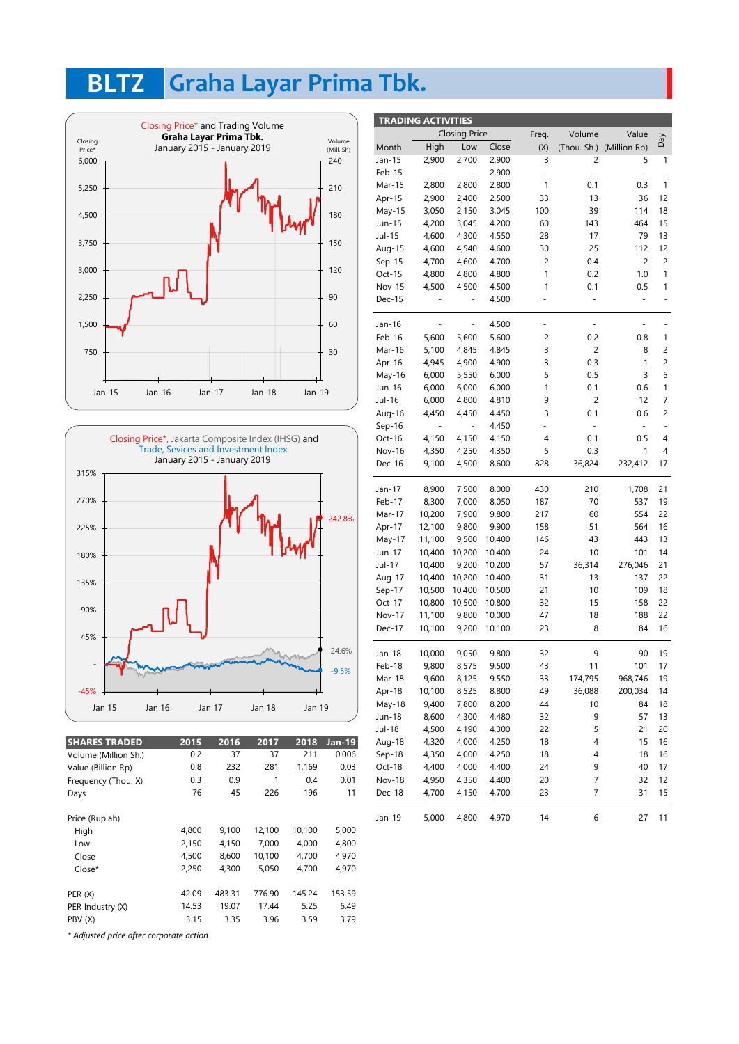## **BLTZ Graha Layar Prima Tbk.**





| <b>SHARES TRADED</b> | 2015   | 2016    | 2017   | 2018   | <b>Jan-19</b> |
|----------------------|--------|---------|--------|--------|---------------|
| Volume (Million Sh.) | 0.2    | 37      | 37     | 211    | 0.006         |
| Value (Billion Rp)   | 0.8    | 232     | 281    | 1,169  | 0.03          |
| Frequency (Thou. X)  | 0.3    | 0.9     | 1      | 0.4    | 0.01          |
| Days                 | 76     | 45      | 226    | 196    | 11            |
| Price (Rupiah)       |        |         |        |        |               |
| High                 | 4,800  | 9,100   | 12,100 | 10,100 | 5,000         |
| Low                  | 2,150  | 4,150   | 7,000  | 4,000  | 4,800         |
| Close                | 4,500  | 8,600   | 10,100 | 4,700  | 4,970         |
| Close*               | 2,250  | 4,300   | 5,050  | 4.700  | 4.970         |
| PER(X)               | -42.09 | -483.31 | 776.90 | 145.24 | 153.59        |
| PER Industry (X)     | 14.53  | 19.07   | 17.44  | 5.25   | 6.49          |
| PBV (X)              | 3.15   | 3.35    | 3.96   | 3.59   | 3.79          |
|                      |        |         |        |        |               |

| <b>TRADING ACTIVITIES</b> |                      |                          |                          |        |                              |                |                          |                          |  |
|---------------------------|----------------------|--------------------------|--------------------------|--------|------------------------------|----------------|--------------------------|--------------------------|--|
|                           | <b>Closing Price</b> |                          |                          | Freq.  | Volume                       | Value          |                          |                          |  |
|                           | Month                | High                     | Low                      | Close  | (X)                          | (Thou. Sh.)    | (Million Rp)             | VeQ                      |  |
|                           | Jan-15               | 2,900                    | 2,700                    | 2,900  | 3                            | 2              | 5                        | 1                        |  |
|                           | Feb-15               |                          |                          | 2,900  | ÷                            | $\blacksquare$ | $\overline{\phantom{0}}$ |                          |  |
|                           | Mar-15               | 2,800                    | 2,800                    | 2,800  | 1                            | 0.1            | 0.3                      | 1                        |  |
|                           | Apr-15               | 2,900                    | 2,400                    | 2,500  | 33                           | 13             | 36                       | 12                       |  |
|                           | $May-15$             | 3,050                    | 2,150                    | 3,045  | 100                          | 39             | 114                      | 18                       |  |
|                           | Jun-15               | 4,200                    | 3,045                    | 4,200  | 60                           | 143            | 464                      | 15                       |  |
|                           | Jul-15               | 4,600                    | 4,300                    | 4,550  | 28                           | 17             | 79                       | 13                       |  |
|                           | Aug-15               | 4,600                    | 4,540                    | 4,600  | 30                           | 25             | 112                      | 12                       |  |
|                           | $Sep-15$             | 4,700                    | 4,600                    | 4,700  | 2                            | 0.4            | 2                        | 2                        |  |
|                           | Oct-15               | 4,800                    | 4,800                    | 4,800  | 1                            | 0.2            | 1.0                      | 1                        |  |
|                           | <b>Nov-15</b>        | 4,500                    | 4,500                    | 4,500  | 1                            | 0.1            | 0.5                      | 1                        |  |
|                           | Dec-15               | ÷,                       | $\overline{\phantom{0}}$ | 4,500  | $\qquad \qquad \blacksquare$ | Ξ              | $\frac{1}{2}$            | $\overline{\phantom{0}}$ |  |
|                           |                      |                          |                          |        |                              |                |                          |                          |  |
|                           | Jan-16               |                          |                          | 4,500  |                              |                |                          |                          |  |
|                           | Feb-16               | 5,600                    | 5,600                    | 5,600  | 2                            | 0.2            | 0.8                      | 1                        |  |
|                           | Mar-16               | 5,100                    | 4,845                    | 4,845  | 3                            | $\overline{c}$ | 8                        | 2                        |  |
|                           | Apr-16               | 4,945                    | 4,900                    | 4,900  | 3                            | 0.3            | 1                        | 2                        |  |
|                           | May-16               | 6,000                    | 5,550                    | 6,000  | 5                            | 0.5            | 3                        | 5                        |  |
|                           | Jun-16               | 6,000                    | 6,000                    | 6,000  | 1                            | 0.1            | 0.6                      | 1                        |  |
|                           | Jul-16               | 6,000                    | 4,800                    | 4,810  | 9                            | $\overline{c}$ | 12                       | 7                        |  |
|                           | Aug-16               | 4,450                    | 4,450                    | 4,450  | 3                            | 0.1            | 0.6                      | $\overline{c}$           |  |
|                           | $Sep-16$             | $\overline{\phantom{0}}$ | $\overline{\phantom{0}}$ | 4,450  | 4                            | $\blacksquare$ | $\frac{1}{2}$            | $\overline{\phantom{m}}$ |  |
|                           | Oct-16               | 4,150                    | 4,150                    | 4,150  | 4                            | 0.1            | 0.5                      | 4                        |  |
|                           | <b>Nov-16</b>        | 4,350                    | 4,250                    | 4,350  | 5                            | 0.3            | 1                        | 4                        |  |
|                           | Dec-16               | 9,100                    | 4,500                    | 8,600  | 828                          | 36,824         | 232,412                  | 17                       |  |
|                           |                      |                          |                          |        |                              |                |                          |                          |  |
|                           | Jan-17               | 8,900                    | 7,500                    | 8,000  | 430                          | 210            | 1,708                    | 21                       |  |
|                           | Feb-17               | 8,300                    | 7,000                    | 8,050  | 187                          | 70             | 537                      | 19                       |  |
|                           | Mar-17               | 10,200                   | 7,900                    | 9,800  | 217                          | 60             | 554                      | 22                       |  |
|                           | Apr-17               | 12,100                   | 9,800                    | 9,900  | 158                          | 51             | 564                      | 16                       |  |
|                           | May-17               | 11,100                   | 9,500                    | 10,400 | 146                          | 43             | 443                      | 13                       |  |
|                           | Jun-17               | 10,400                   | 10,200                   | 10,400 | 24                           | 10             | 101                      | 14                       |  |
|                           | Jul-17               | 10,400                   | 9,200                    | 10,200 | 57                           | 36,314         | 276,046                  | 21                       |  |
|                           | Aug-17               | 10,400                   | 10,200                   | 10,400 | 31                           | 13             | 137                      | 22                       |  |
|                           | Sep-17               | 10,500                   | 10,400                   | 10,500 | 21                           | 10             | 109                      | 18                       |  |
|                           | Oct-17               | 10,800                   | 10,500                   | 10,800 | 32                           | 15             | 158                      | 22                       |  |
|                           | <b>Nov-17</b>        | 11,100                   | 9,800                    | 10,000 | 47                           | 18             | 188                      | 22                       |  |
|                           | Dec-17               | 10,100                   | 9,200                    | 10,100 | 23                           | 8              | 84                       | 16                       |  |
|                           |                      |                          |                          |        |                              |                |                          |                          |  |
|                           | Jan-18               | 10,000                   | 9,050                    | 9,800  | 32                           | 9              | 90                       | 19                       |  |
|                           | Feb-18               | 9,800                    | 8,575                    | 9,500  | 43                           | 11             | 101                      | 17                       |  |
|                           | Mar-18               | 9,600                    | 8,125                    | 9,550  | 33                           | 174,795        | 968,746                  | 19                       |  |
|                           | Apr-18               | 10,100                   | 8,525                    | 8,800  | 49                           | 36,088         | 200,034                  | 14                       |  |
|                           | May-18               | 9,400                    | 7,800                    | 8,200  | 44                           | 10             | 84                       | 18                       |  |
|                           | Jun-18               | 8,600                    | 4,300                    | 4,480  | 32                           | 9              | 57                       | 13                       |  |
|                           | Jul-18               | 4,500                    | 4,190                    | 4,300  | 22                           | 5              | 21                       | 20                       |  |
|                           | Aug-18               | 4,320                    | 4,000                    | 4,250  | 18                           | 4              | 15                       | 16                       |  |
|                           | Sep-18               | 4,350                    | 4,000                    | 4,250  | 18                           | 4              | 18                       | 16                       |  |
|                           | Oct-18               | 4,400                    | 4,000                    | 4,400  | 24                           | 9              | 40                       | 17                       |  |
|                           | <b>Nov-18</b>        | 4,950                    | 4,350                    | 4,400  | 20                           | 7              | 32                       | 12                       |  |
|                           | Dec-18               | 4,700                    | 4,150                    | 4,700  | 23                           | 7              | 31                       | 15                       |  |
|                           |                      |                          |                          |        |                              |                |                          |                          |  |
|                           | Jan-19               | 5,000                    | 4,800                    | 4,970  | 14                           | 6              | 27                       | 11                       |  |

*\* Adjusted price after corporate action*